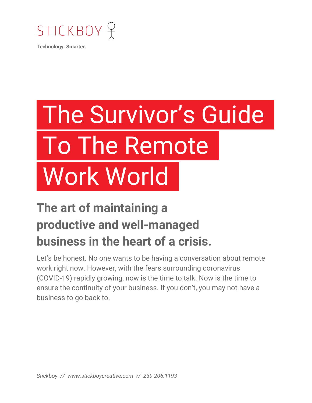

**Technology. Smarter.**

# The Survivor's Guide/ To The Remote/ Work World

## **The art of maintaining a productive and well-managed business in the heart of a crisis.**

Let's be honest. No one wants to be having a conversation about remote work right now. However, with the fears surrounding coronavirus (COVID-19) rapidly growing, now is the time to talk. Now is the time to ensure the continuity of your business. If you don't, you may not have a business to go back to.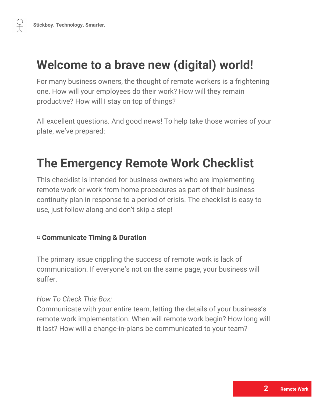## **Welcome to a brave new (digital) world!**

For many business owners, the thought of remote workers is a frightening one. How will your employees do their work? How will they remain productive? How will I stay on top of things?

All excellent questions. And good news! To help take those worries of your plate, we've prepared:

### **The Emergency Remote Work Checklist**

This checklist is intended for business owners who are implementing remote work or work-from-home procedures as part of their business continuity plan in response to a period of crisis. The checklist is easy to use, just follow along and don't skip a step!

#### ▢ **Communicate Timing & Duration**

The primary issue crippling the success of remote work is lack of communication. If everyone's not on the same page, your business will suffer.

#### *How To Check This Box:*

Communicate with your entire team, letting the details of your business's remote work implementation. When will remote work begin? How long will it last? How will a change-in-plans be communicated to your team?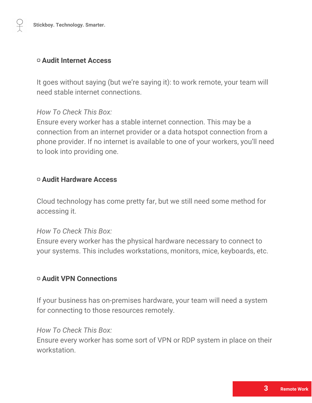#### ▢ **Audit Internet Access**

It goes without saying (but we're saying it): to work remote, your team will need stable internet connections.

#### *How To Check This Box:*

Ensure every worker has a stable internet connection. This may be a connection from an internet provider or a data hotspot connection from a phone provider. If no internet is available to one of your workers, you'll need to look into providing one.

#### ▢ **Audit Hardware Access**

Cloud technology has come pretty far, but we still need some method for accessing it.

#### *How To Check This Box:*

Ensure every worker has the physical hardware necessary to connect to your systems. This includes workstations, monitors, mice, keyboards, etc.

#### ▢ **Audit VPN Connections**

If your business has on-premises hardware, your team will need a system for connecting to those resources remotely.

#### *How To Check This Box:*

Ensure every worker has some sort of VPN or RDP system in place on their workstation.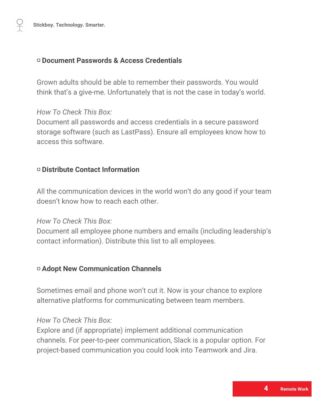#### ▢ **Document Passwords & Access Credentials**

Grown adults should be able to remember their passwords. You would think that's a give-me. Unfortunately that is not the case in today's world.

#### *How To Check This Box:*

Document all passwords and access credentials in a secure password storage software (such as LastPass). Ensure all employees know how to access this software.

#### ▢ **Distribute Contact Information**

All the communication devices in the world won't do any good if your team doesn't know how to reach each other.

#### *How To Check This Box:*

Document all employee phone numbers and emails (including leadership's contact information). Distribute this list to all employees.

#### ▢ **Adopt New Communication Channels**

Sometimes email and phone won't cut it. Now is your chance to explore alternative platforms for communicating between team members.

#### *How To Check This Box:*

Explore and (if appropriate) implement additional communication channels. For peer-to-peer communication, Slack is a popular option. For project-based communication you could look into Teamwork and Jira.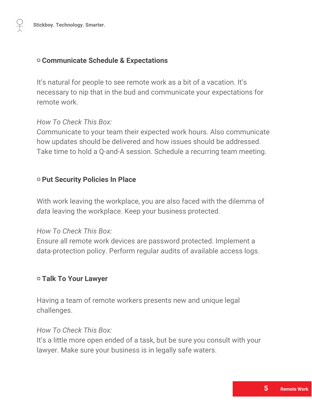#### ▢ **Communicate Schedule & Expectations**

It's natural for people to see remote work as a bit of a vacation. It's necessary to nip that in the bud and communicate your expectations for remote work.

#### *How To Check This Box:*

Communicate to your team their expected work hours. Also communicate how updates should be delivered and how issues should be addressed. Take time to hold a Q-and-A session. Schedule a recurring team meeting.

#### ▢ **Put Security Policies In Place**

With work leaving the workplace, you are also faced with the dilemma of *data* leaving the workplace. Keep your business protected.

#### *How To Check This Box:*

Ensure all remote work devices are password protected. Implement a data-protection policy. Perform regular audits of available access logs.

#### ▢ **Talk To Your Lawyer**

Having a team of remote workers presents new and unique legal challenges.

#### *How To Check This Box:*

It's a little more open ended of a task, but be sure you consult with your lawyer. Make sure your business is in legally safe waters.